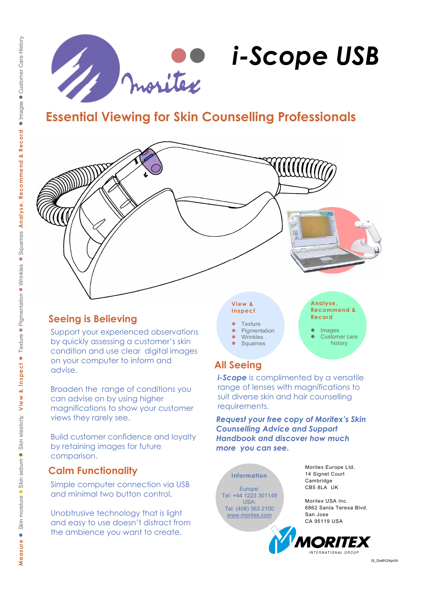

# **Essential Viewing for Skin Counselling Professionals**



## **Seeing is Believing**

Support your experienced observations by quickly assessing a customer's skin condition and use clear digital images on your computer to inform and advise.

Broaden the range of conditions you can advise on by using higher magnifications to show your customer views they rarely see.

Build customer confidence and loyalty by retaining images for future comparison.

## **Calm Functionality**

Simple computer connection via USB and minimal two button control.

Unobtrusive technology that is light and easy to use doesn't distract from the ambience you want to create.

## **Inspect**

- **Texture**
- Pigmentation
- Wrinkles
- Squames

**Recommend & Record**  Images

Customer care history

## **All Seeing**

*i-Scope* is complimented by a versatile range of lenses with magnifications to suit diverse skin and hair counselling requirements.

*Request your free copy of Moritex's Skin Counselling Advice and Support Handbook and discover how much more you can see.* 

**Information**  Europe: Tel: +44 1223 301148 USA: Tel: (408) 363 2100 www.moritex.com

Moritex Europe Ltd**.**  14 Signet Court Cambridge CB5 8LA UK

Moritex USA Inc. 6862 Santa Teresa Blvd. San Jose CA 95119 USA